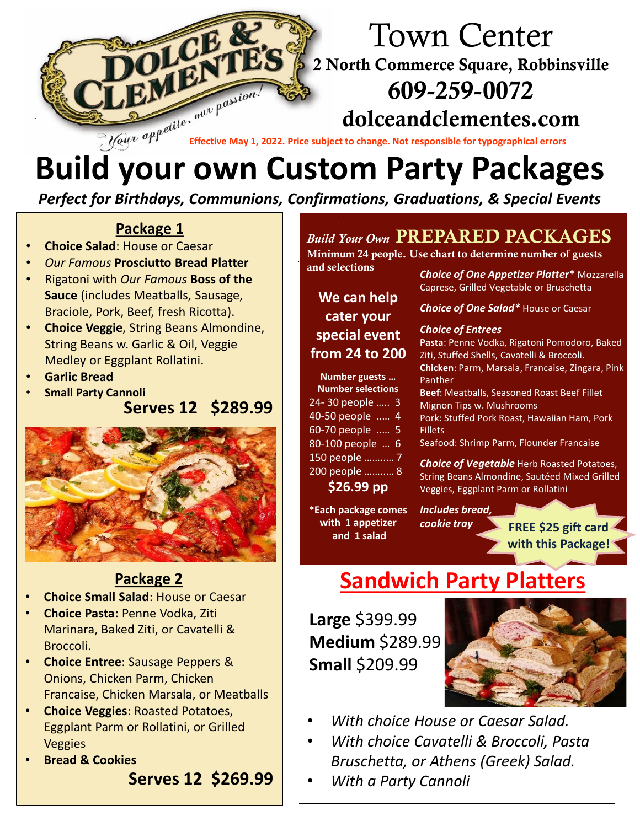

*Perfect for Birthdays, Communions, Confirmations, Graduations, & Special Events*

### **Package 1**

- **Choice Salad**: House or Caesar
- *Our Famous* **Prosciutto Bread Platter**
- Rigatoni with *Our Famous* **Boss of the Sauce** (includes Meatballs, Sausage, Braciole, Pork, Beef, fresh Ricotta).
- **Choice Veggie**, String Beans Almondine, String Beans w. Garlic & Oil, Veggie Medley or Eggplant Rollatini.
- **Garlic Bread**
- **Small Party Cannoli**

**Serves 12 \$289.99**



### **Package 2**

- **Choice Small Salad: House or Caesar**
- **Number selections Choice Pasta:** Penne Vodka, Ziti Marinara, Baked Ziti, or Cavatelli &  $\frac{1}{2}$ en Broccoli.
- Choice Entree: Sausage Peppers & Onions, Chicken Parm, Chicken 80 people … 6 Francaise, Chicken Marsala, or Meatballs
- 90 people … 6 **Choice Veggies**: Roasted Potatoes, 100 personal<br>100 personal Eggplant Parm or Rollatini, or Grilled **200 veggies** 
	- **\$18.99 pp Bread & Cookies**

**1 appetizer and** 

**Serves 12 \$269.99**

### *Build Your Own* PREPARED PACKAGES

Minimum 24 people. Use chart to determine number of guests and selections

**and selections** *Choice of One Appetizer Platter***<sup>\*</sup> Mozzarella** Caprese, Grilled Vegetable or Bruschetta

*Choice of One Salad\** House or Caesar

### *Choice of Entrees*

**Pasta**: Penne Vodka, Rigatoni Pomodoro, Baked Ziti, Stuffed Shells, Cavatelli & Broccoli. **Chicken**: Parm, Marsala, Francaise, Zingara, Pink Panther

**Beef**: Meatballs, Seasoned Roast Beef Fillet Mignon Tips w. Mushrooms

Pork: Stuffed Pork Roast, Hawaiian Ham, Pork Fillets

Seafood: Shrimp Parm, Flounder Francaise

*Choice of Vegetable* Herb Roasted Potatoes, String Beans Almondine, Sautéed Mixed Grilled Veggies, Eggplant Parm or Rollatini

**\*Each package comes with 1 appetizer and 1 salad**

**We can help cater your special event from 24 to 200**

**Number guests … Number selections** 24- 30 people ….. 3 40-50 people ..… 4 60-70 people ..… 5 80-100 people … 6 150 people ……..… 7 200 people ……..… 8 **\$26.99 pp**

> *Includes bread, cookie tray*

**FREE \$25 gift card with this Package!**

# **Sandwich Party Platters**

**Large** \$399.99 **Medium** \$289.99 **Small** \$209.99



- *With choice House or Caesar Salad.*
- *With choice Cavatelli & Broccoli, Pasta Bruschetta, or Athens (Greek) Salad.*
- *With a Party Cannoli*